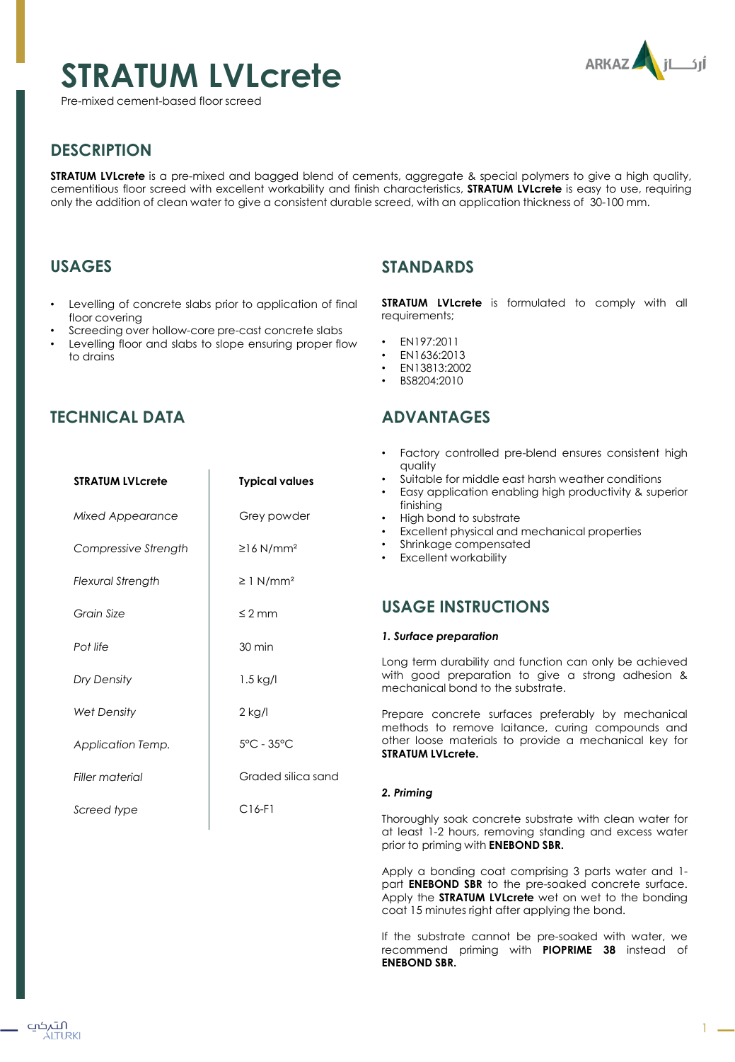# **STRATUM LVLcrete**

Pre-mixed cement-based floor screed



1

## **DESCRIPTION**

**STRATUM LVLcrete** is a pre-mixed and bagged blend of cements, aggregate & special polymers to give a high quality, cementitious floor screed with excellent workability and finish characteristics, **STRATUM LVLcrete** is easy to use, requiring only the addition of clean water to give a consistent durable screed, with an application thickness of 30-100 mm.

## **USAGES**

- Levelling of concrete slabs prior to application of final floor covering
- Screeding over hollow-core pre-cast concrete slabs
- Levelling floor and slabs to slope ensuring proper flow to drains

## **STANDARDS**

**STRATUM LVLcrete** is formulated to comply with all requirements;

- EN197:2011
- EN1636:2013
- EN13813:2002
- BS8204:2010

## **ADVANTAGES**

|                          |                                 | Factory controlled pre-blend ensures consistent high<br>quality                                                                                                |
|--------------------------|---------------------------------|----------------------------------------------------------------------------------------------------------------------------------------------------------------|
| <b>STRATUM LVLcrete</b>  | <b>Typical values</b>           | Suitable for middle east harsh weather conditions<br>Easy application enabling high productivity & superior<br>finishing                                       |
| <b>Mixed Appearance</b>  | Grey powder                     | High bond to substrate<br>Excellent physical and mechanical properties                                                                                         |
| Compressive Strength     | $\geq$ 16 N/mm <sup>2</sup>     | Shrinkage compensated<br><b>Excellent workability</b>                                                                                                          |
| <b>Flexural Strength</b> | $\geq$ 1 N/mm <sup>2</sup>      |                                                                                                                                                                |
| Grain Size               | $\leq$ 2 mm                     | <b>USAGE INSTRUCTIONS</b>                                                                                                                                      |
| Pot life                 | 30 min                          | 1. Surface preparation                                                                                                                                         |
| Dry Density              | $1.5$ kg/l                      | Long term durability and function can only be achieved<br>with good preparation to give a strong adhesion &<br>mechanical bond to the substrate.               |
| <b>Wet Density</b>       | $2$ kg/l                        | Prepare concrete surfaces preferably by mechanical                                                                                                             |
| Application Temp.        | $5^{\circ}$ C - 35 $^{\circ}$ C | methods to remove laitance, curing compounds and<br>other loose materials to provide a mechanical key for<br><b>STRATUM LVLcrete.</b>                          |
| <b>Filler material</b>   | Graded silica sand              |                                                                                                                                                                |
|                          |                                 | 2. Priming                                                                                                                                                     |
| Screed type              | $C16-F1$                        | Thoroughly soak concrete substrate with clean water for<br>at least 1-2 hours, removing standing and excess water<br>prior to priming with <b>ENEBOND SBR.</b> |
|                          |                                 |                                                                                                                                                                |

Apply a bonding coat comprising 3 parts water and 1 part **ENEBOND SBR** to the pre-soaked concrete surface. Apply the **STRATUM LVLcrete** wet on wet to the bonding coat 15 minutes right after applying the bond.

If the substrate cannot be pre-soaked with water, we recommend priming with **PIOPRIME 38** instead of **ENEBOND SBR.**

## **TECHNICAL DATA**